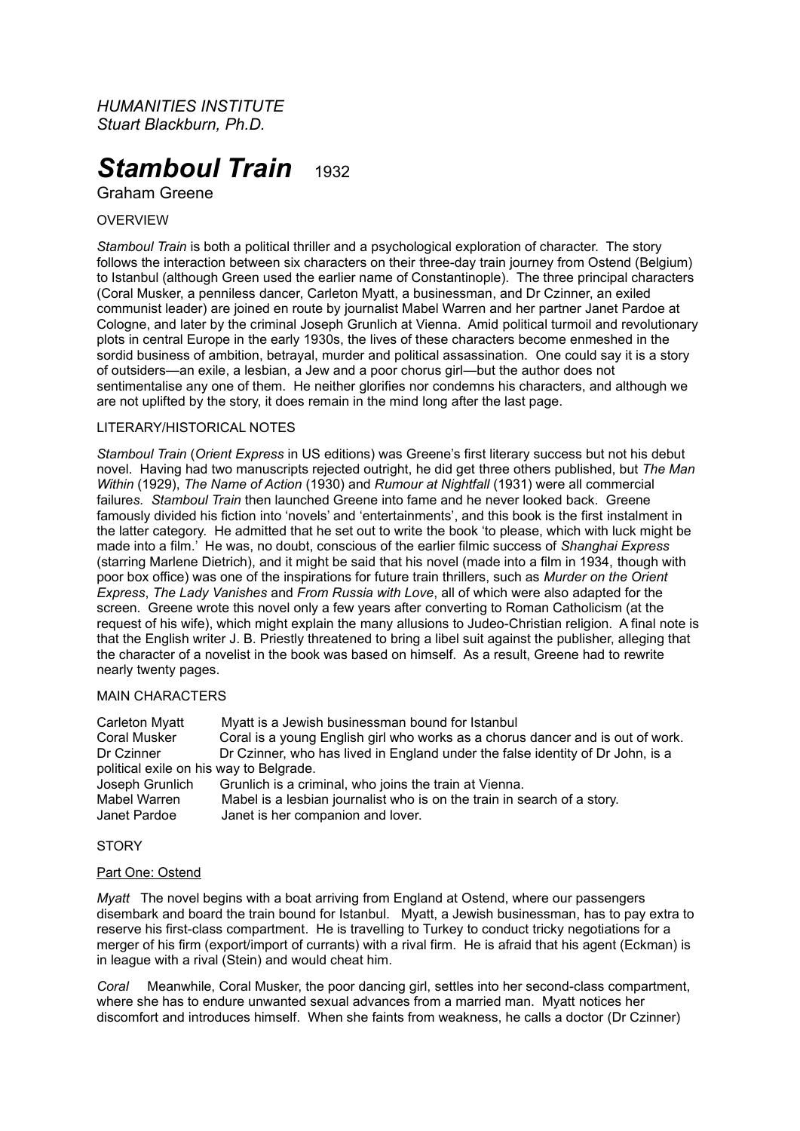*HUMANITIES INSTITUTE Stuart Blackburn, Ph.D.*

# **Stamboul Train** 1932

Graham Greene

# OVERVIEW

*Stamboul Train* is both a political thriller and a psychological exploration of character. The story follows the interaction between six characters on their three-day train journey from Ostend (Belgium) to Istanbul (although Green used the earlier name of Constantinople). The three principal characters (Coral Musker, a penniless dancer, Carleton Myatt, a businessman, and Dr Czinner, an exiled communist leader) are joined en route by journalist Mabel Warren and her partner Janet Pardoe at Cologne, and later by the criminal Joseph Grunlich at Vienna. Amid political turmoil and revolutionary plots in central Europe in the early 1930s, the lives of these characters become enmeshed in the sordid business of ambition, betrayal, murder and political assassination. One could say it is a story of outsiders—an exile, a lesbian, a Jew and a poor chorus girl—but the author does not sentimentalise any one of them. He neither glorifies nor condemns his characters, and although we are not uplifted by the story, it does remain in the mind long after the last page.

# LITERARY/HISTORICAL NOTES

*Stamboul Train* (*Orient Express* in US editions) was Greene's first literary success but not his debut novel. Having had two manuscripts rejected outright, he did get three others published, but *The Man Within* (1929), *The Name of Action* (1930) and *Rumour at Nightfall* (1931) were all commercial failure*s. Stamboul Train* then launched Greene into fame and he never looked back. Greene famously divided his fiction into 'novels' and 'entertainments', and this book is the first instalment in the latter category. He admitted that he set out to write the book 'to please, which with luck might be made into a film.' He was, no doubt, conscious of the earlier filmic success of *Shanghai Express* (starring Marlene Dietrich), and it might be said that his novel (made into a film in 1934, though with poor box office) was one of the inspirations for future train thrillers, such as *Murder on the Orient Express*, *The Lady Vanishes* and *From Russia with Love*, all of which were also adapted for the screen. Greene wrote this novel only a few years after converting to Roman Catholicism (at the request of his wife), which might explain the many allusions to Judeo-Christian religion. A final note is that the English writer J. B. Priestly threatened to bring a libel suit against the publisher, alleging that the character of a novelist in the book was based on himself. As a result, Greene had to rewrite nearly twenty pages.

# MAIN CHARACTERS

| Carleton Myatt                          | Myatt is a Jewish businessman bound for Istanbul                               |
|-----------------------------------------|--------------------------------------------------------------------------------|
| Coral Musker                            | Coral is a young English girl who works as a chorus dancer and is out of work. |
| Dr Czinner                              | Dr Czinner, who has lived in England under the false identity of Dr John, is a |
| political exile on his way to Belgrade. |                                                                                |
| Joseph Grunlich                         | Grunlich is a criminal, who joins the train at Vienna.                         |
| Mabel Warren                            | Mabel is a lesbian journalist who is on the train in search of a story.        |
| Janet Pardoe                            | Janet is her companion and lover.                                              |

# **STORY**

# Part One: Ostend

*Myatt* The novel begins with a boat arriving from England at Ostend, where our passengers disembark and board the train bound for Istanbul. Myatt, a Jewish businessman, has to pay extra to reserve his first-class compartment. He is travelling to Turkey to conduct tricky negotiations for a merger of his firm (export/import of currants) with a rival firm. He is afraid that his agent (Eckman) is in league with a rival (Stein) and would cheat him.

*Coral* Meanwhile, Coral Musker, the poor dancing girl, settles into her second-class compartment, where she has to endure unwanted sexual advances from a married man. Myatt notices her discomfort and introduces himself. When she faints from weakness, he calls a doctor (Dr Czinner)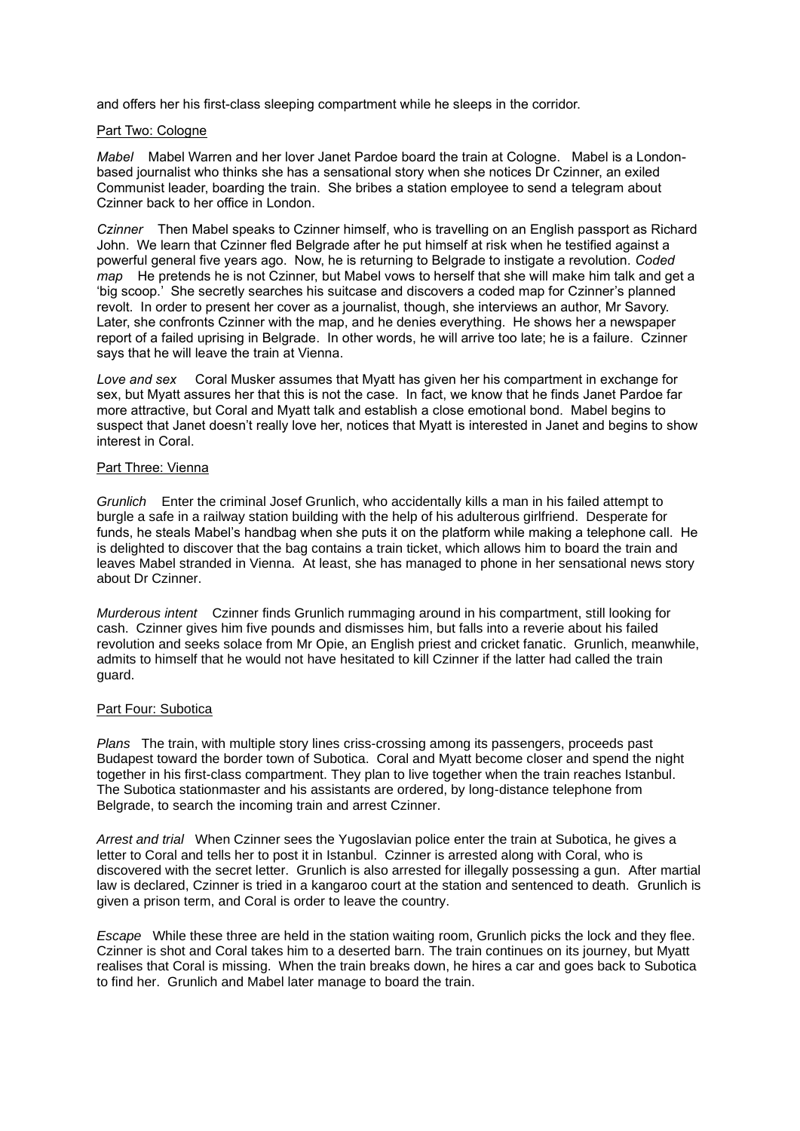and offers her his first-class sleeping compartment while he sleeps in the corridor.

# Part Two: Cologne

*Mabel* Mabel Warren and her lover Janet Pardoe board the train at Cologne. Mabel is a Londonbased journalist who thinks she has a sensational story when she notices Dr Czinner, an exiled Communist leader, boarding the train. She bribes a station employee to send a telegram about Czinner back to her office in London.

*Czinner* Then Mabel speaks to Czinner himself, who is travelling on an English passport as Richard John. We learn that Czinner fled Belgrade after he put himself at risk when he testified against a powerful general five years ago. Now, he is returning to Belgrade to instigate a revolution. *Coded map* He pretends he is not Czinner, but Mabel vows to herself that she will make him talk and get a 'big scoop.' She secretly searches his suitcase and discovers a coded map for Czinner's planned revolt. In order to present her cover as a journalist, though, she interviews an author, Mr Savory. Later, she confronts Czinner with the map, and he denies everything. He shows her a newspaper report of a failed uprising in Belgrade. In other words, he will arrive too late; he is a failure. Czinner says that he will leave the train at Vienna.

*Love and sex* Coral Musker assumes that Myatt has given her his compartment in exchange for sex, but Myatt assures her that this is not the case. In fact, we know that he finds Janet Pardoe far more attractive, but Coral and Myatt talk and establish a close emotional bond. Mabel begins to suspect that Janet doesn't really love her, notices that Myatt is interested in Janet and begins to show interest in Coral.

# Part Three: Vienna

*Grunlich* Enter the criminal Josef Grunlich, who accidentally kills a man in his failed attempt to burgle a safe in a railway station building with the help of his adulterous girlfriend. Desperate for funds, he steals Mabel's handbag when she puts it on the platform while making a telephone call. He is delighted to discover that the bag contains a train ticket, which allows him to board the train and leaves Mabel stranded in Vienna. At least, she has managed to phone in her sensational news story about Dr Czinner.

*Murderous intent* Czinner finds Grunlich rummaging around in his compartment, still looking for cash. Czinner gives him five pounds and dismisses him, but falls into a reverie about his failed revolution and seeks solace from Mr Opie, an English priest and cricket fanatic. Grunlich, meanwhile, admits to himself that he would not have hesitated to kill Czinner if the latter had called the train guard.

# Part Four: Subotica

*Plans* The train, with multiple story lines criss-crossing among its passengers, proceeds past Budapest toward the border town of Subotica. Coral and Myatt become closer and spend the night together in his first-class compartment. They plan to live together when the train reaches Istanbul. The Subotica stationmaster and his assistants are ordered, by long-distance telephone from Belgrade, to search the incoming train and arrest Czinner.

*Arrest and trial* When Czinner sees the Yugoslavian police enter the train at Subotica, he gives a letter to Coral and tells her to post it in Istanbul. Czinner is arrested along with Coral, who is discovered with the secret letter. Grunlich is also arrested for illegally possessing a gun. After martial law is declared, Czinner is tried in a kangaroo court at the station and sentenced to death. Grunlich is given a prison term, and Coral is order to leave the country.

*Escape* While these three are held in the station waiting room, Grunlich picks the lock and they flee. Czinner is shot and Coral takes him to a deserted barn. The train continues on its journey, but Myatt realises that Coral is missing. When the train breaks down, he hires a car and goes back to Subotica to find her. Grunlich and Mabel later manage to board the train.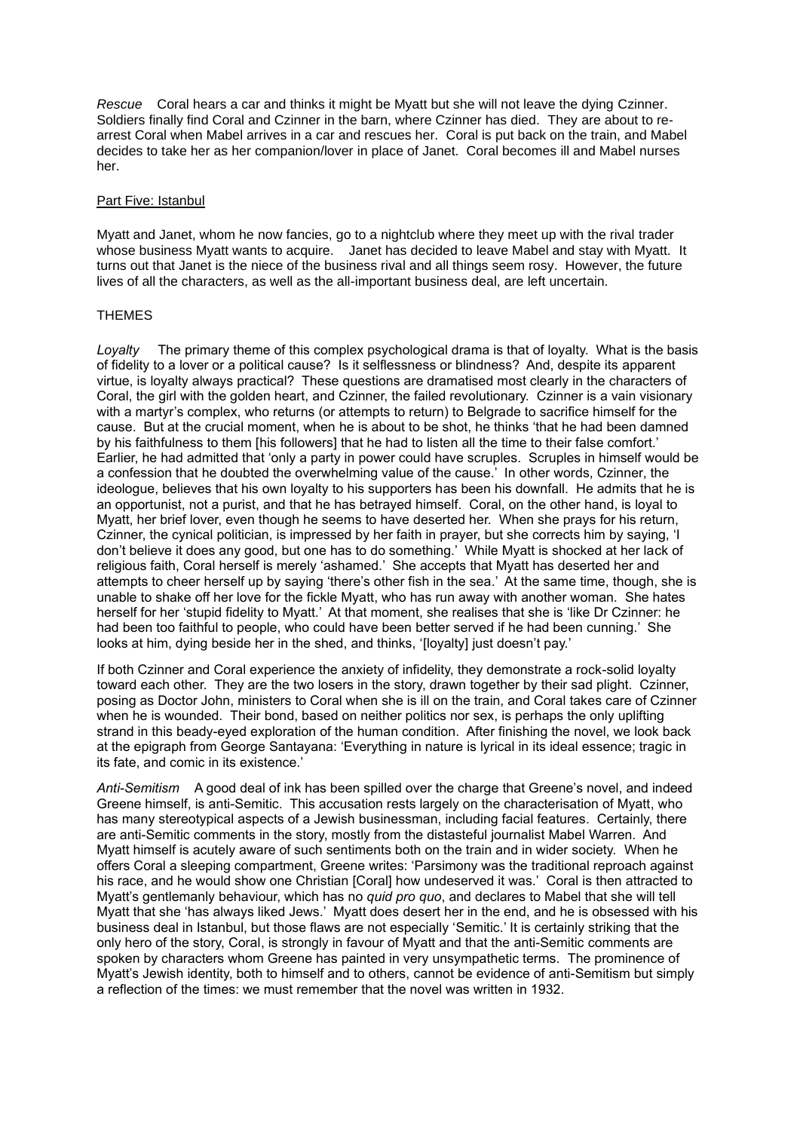*Rescue* Coral hears a car and thinks it might be Myatt but she will not leave the dying Czinner. Soldiers finally find Coral and Czinner in the barn, where Czinner has died. They are about to rearrest Coral when Mabel arrives in a car and rescues her. Coral is put back on the train, and Mabel decides to take her as her companion/lover in place of Janet. Coral becomes ill and Mabel nurses her.

#### Part Five: Istanbul

Myatt and Janet, whom he now fancies, go to a nightclub where they meet up with the rival trader whose business Myatt wants to acquire. Janet has decided to leave Mabel and stay with Myatt. It turns out that Janet is the niece of the business rival and all things seem rosy. However, the future lives of all the characters, as well as the all-important business deal, are left uncertain.

# **THEMES**

*Loyalty* The primary theme of this complex psychological drama is that of loyalty. What is the basis of fidelity to a lover or a political cause? Is it selflessness or blindness? And, despite its apparent virtue, is loyalty always practical? These questions are dramatised most clearly in the characters of Coral, the girl with the golden heart, and Czinner, the failed revolutionary. Czinner is a vain visionary with a martyr's complex, who returns (or attempts to return) to Belgrade to sacrifice himself for the cause. But at the crucial moment, when he is about to be shot, he thinks 'that he had been damned by his faithfulness to them [his followers] that he had to listen all the time to their false comfort.' Earlier, he had admitted that 'only a party in power could have scruples. Scruples in himself would be a confession that he doubted the overwhelming value of the cause.' In other words, Czinner, the ideologue, believes that his own loyalty to his supporters has been his downfall. He admits that he is an opportunist, not a purist, and that he has betrayed himself. Coral, on the other hand, is loyal to Myatt, her brief lover, even though he seems to have deserted her. When she prays for his return, Czinner, the cynical politician, is impressed by her faith in prayer, but she corrects him by saying, 'I don't believe it does any good, but one has to do something.' While Myatt is shocked at her lack of religious faith, Coral herself is merely 'ashamed.' She accepts that Myatt has deserted her and attempts to cheer herself up by saying 'there's other fish in the sea.' At the same time, though, she is unable to shake off her love for the fickle Myatt, who has run away with another woman. She hates herself for her 'stupid fidelity to Myatt.' At that moment, she realises that she is 'like Dr Czinner: he had been too faithful to people, who could have been better served if he had been cunning.' She looks at him, dying beside her in the shed, and thinks, 'lloyaltyl just doesn't pay.'

If both Czinner and Coral experience the anxiety of infidelity, they demonstrate a rock-solid loyalty toward each other. They are the two losers in the story, drawn together by their sad plight. Czinner, posing as Doctor John, ministers to Coral when she is ill on the train, and Coral takes care of Czinner when he is wounded. Their bond, based on neither politics nor sex, is perhaps the only uplifting strand in this beady-eyed exploration of the human condition. After finishing the novel, we look back at the epigraph from George Santayana: 'Everything in nature is lyrical in its ideal essence; tragic in its fate, and comic in its existence.'

*Anti-Semitism* A good deal of ink has been spilled over the charge that Greene's novel, and indeed Greene himself, is anti-Semitic. This accusation rests largely on the characterisation of Myatt, who has many stereotypical aspects of a Jewish businessman, including facial features. Certainly, there are anti-Semitic comments in the story, mostly from the distasteful journalist Mabel Warren. And Myatt himself is acutely aware of such sentiments both on the train and in wider society. When he offers Coral a sleeping compartment, Greene writes: 'Parsimony was the traditional reproach against his race, and he would show one Christian [Coral] how undeserved it was.' Coral is then attracted to Myatt's gentlemanly behaviour, which has no *quid pro quo*, and declares to Mabel that she will tell Myatt that she 'has always liked Jews.' Myatt does desert her in the end, and he is obsessed with his business deal in Istanbul, but those flaws are not especially 'Semitic.' It is certainly striking that the only hero of the story, Coral, is strongly in favour of Myatt and that the anti-Semitic comments are spoken by characters whom Greene has painted in very unsympathetic terms. The prominence of Myatt's Jewish identity, both to himself and to others, cannot be evidence of anti-Semitism but simply a reflection of the times: we must remember that the novel was written in 1932.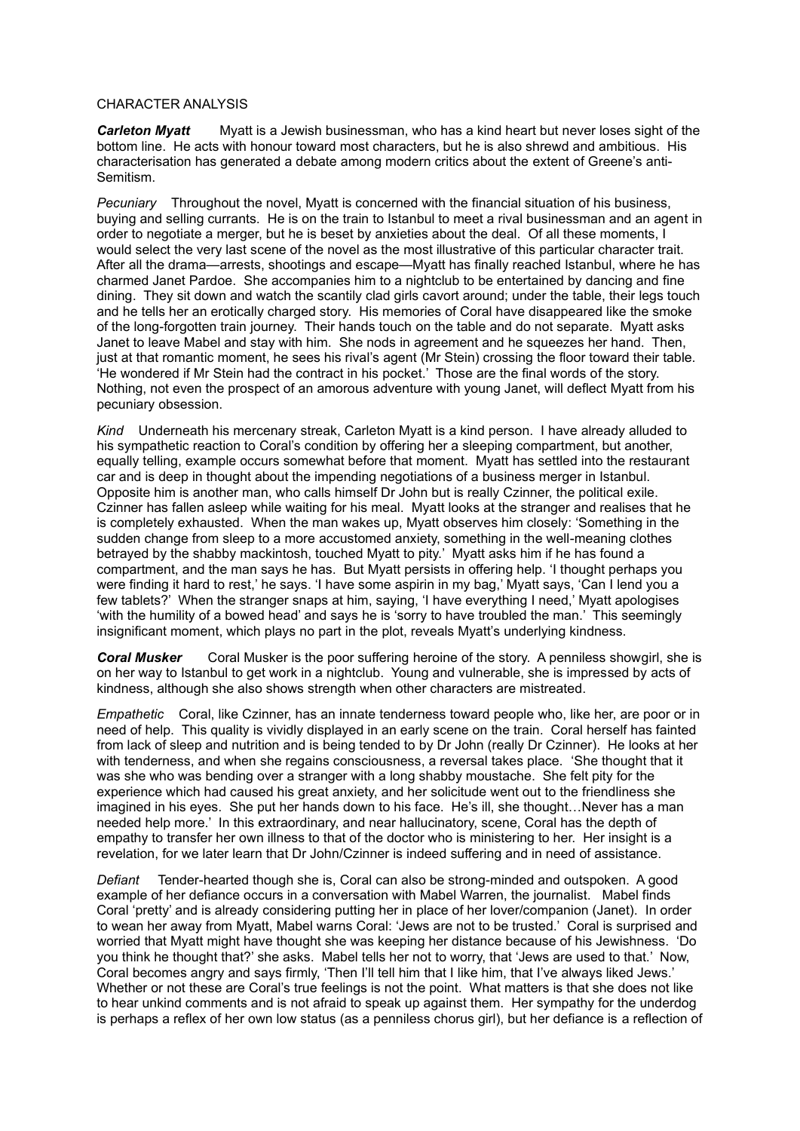#### CHARACTER ANALYSIS

*Carleton Myatt* Myatt is a Jewish businessman, who has a kind heart but never loses sight of the bottom line. He acts with honour toward most characters, but he is also shrewd and ambitious. His characterisation has generated a debate among modern critics about the extent of Greene's anti-Semitism.

*Pecuniary* Throughout the novel, Myatt is concerned with the financial situation of his business, buying and selling currants. He is on the train to Istanbul to meet a rival businessman and an agent in order to negotiate a merger, but he is beset by anxieties about the deal. Of all these moments, I would select the very last scene of the novel as the most illustrative of this particular character trait. After all the drama—arrests, shootings and escape—Myatt has finally reached Istanbul, where he has charmed Janet Pardoe. She accompanies him to a nightclub to be entertained by dancing and fine dining. They sit down and watch the scantily clad girls cavort around; under the table, their legs touch and he tells her an erotically charged story. His memories of Coral have disappeared like the smoke of the long-forgotten train journey. Their hands touch on the table and do not separate. Myatt asks Janet to leave Mabel and stay with him. She nods in agreement and he squeezes her hand. Then, just at that romantic moment, he sees his rival's agent (Mr Stein) crossing the floor toward their table. 'He wondered if Mr Stein had the contract in his pocket.' Those are the final words of the story. Nothing, not even the prospect of an amorous adventure with young Janet, will deflect Myatt from his pecuniary obsession.

*Kind* Underneath his mercenary streak, Carleton Myatt is a kind person. I have already alluded to his sympathetic reaction to Coral's condition by offering her a sleeping compartment, but another, equally telling, example occurs somewhat before that moment. Myatt has settled into the restaurant car and is deep in thought about the impending negotiations of a business merger in Istanbul. Opposite him is another man, who calls himself Dr John but is really Czinner, the political exile. Czinner has fallen asleep while waiting for his meal. Myatt looks at the stranger and realises that he is completely exhausted. When the man wakes up, Myatt observes him closely: 'Something in the sudden change from sleep to a more accustomed anxiety, something in the well-meaning clothes betrayed by the shabby mackintosh, touched Myatt to pity.' Myatt asks him if he has found a compartment, and the man says he has. But Myatt persists in offering help. 'I thought perhaps you were finding it hard to rest,' he says. 'I have some aspirin in my bag,' Myatt says, 'Can I lend you a few tablets?' When the stranger snaps at him, saying, 'I have everything I need,' Myatt apologises 'with the humility of a bowed head' and says he is 'sorry to have troubled the man.' This seemingly insignificant moment, which plays no part in the plot, reveals Myatt's underlying kindness.

*Coral Musker* Coral Musker is the poor suffering heroine of the story. A penniless showgirl, she is on her way to Istanbul to get work in a nightclub. Young and vulnerable, she is impressed by acts of kindness, although she also shows strength when other characters are mistreated.

*Empathetic* Coral, like Czinner, has an innate tenderness toward people who, like her, are poor or in need of help. This quality is vividly displayed in an early scene on the train. Coral herself has fainted from lack of sleep and nutrition and is being tended to by Dr John (really Dr Czinner). He looks at her with tenderness, and when she regains consciousness, a reversal takes place. 'She thought that it was she who was bending over a stranger with a long shabby moustache. She felt pity for the experience which had caused his great anxiety, and her solicitude went out to the friendliness she imagined in his eyes. She put her hands down to his face. He's ill, she thought…Never has a man needed help more.' In this extraordinary, and near hallucinatory, scene, Coral has the depth of empathy to transfer her own illness to that of the doctor who is ministering to her. Her insight is a revelation, for we later learn that Dr John/Czinner is indeed suffering and in need of assistance.

*Defiant* Tender-hearted though she is, Coral can also be strong-minded and outspoken. A good example of her defiance occurs in a conversation with Mabel Warren, the journalist. Mabel finds Coral 'pretty' and is already considering putting her in place of her lover/companion (Janet). In order to wean her away from Myatt, Mabel warns Coral: 'Jews are not to be trusted.' Coral is surprised and worried that Myatt might have thought she was keeping her distance because of his Jewishness. 'Do you think he thought that?' she asks. Mabel tells her not to worry, that 'Jews are used to that.' Now, Coral becomes angry and says firmly, 'Then I'll tell him that I like him, that I've always liked Jews.' Whether or not these are Coral's true feelings is not the point. What matters is that she does not like to hear unkind comments and is not afraid to speak up against them. Her sympathy for the underdog is perhaps a reflex of her own low status (as a penniless chorus girl), but her defiance is a reflection of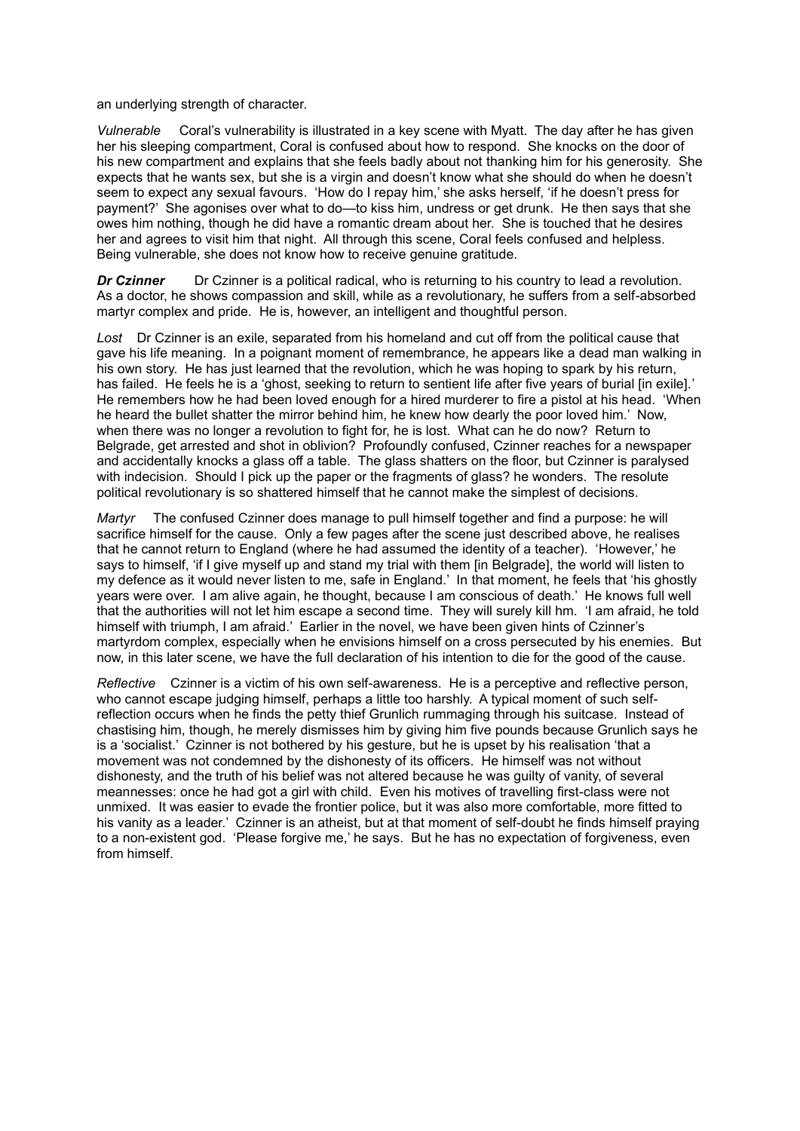an underlying strength of character.

*Vulnerable* Coral's vulnerability is illustrated in a key scene with Myatt. The day after he has given her his sleeping compartment, Coral is confused about how to respond. She knocks on the door of his new compartment and explains that she feels badly about not thanking him for his generosity. She expects that he wants sex, but she is a virgin and doesn't know what she should do when he doesn't seem to expect any sexual favours. 'How do I repay him,' she asks herself, 'if he doesn't press for payment?' She agonises over what to do—to kiss him, undress or get drunk. He then says that she owes him nothing, though he did have a romantic dream about her. She is touched that he desires her and agrees to visit him that night. All through this scene, Coral feels confused and helpless. Being vulnerable, she does not know how to receive genuine gratitude.

*Dr Czinner* Dr Czinner is a political radical, who is returning to his country to lead a revolution. As a doctor, he shows compassion and skill, while as a revolutionary, he suffers from a self-absorbed martyr complex and pride. He is, however, an intelligent and thoughtful person.

*Lost* Dr Czinner is an exile, separated from his homeland and cut off from the political cause that gave his life meaning. In a poignant moment of remembrance, he appears like a dead man walking in his own story. He has just learned that the revolution, which he was hoping to spark by his return, has failed. He feels he is a 'ghost, seeking to return to sentient life after five years of burial [in exile]. He remembers how he had been loved enough for a hired murderer to fire a pistol at his head. 'When he heard the bullet shatter the mirror behind him, he knew how dearly the poor loved him.' Now, when there was no longer a revolution to fight for, he is lost. What can he do now? Return to Belgrade, get arrested and shot in oblivion? Profoundly confused, Czinner reaches for a newspaper and accidentally knocks a glass off a table. The glass shatters on the floor, but Czinner is paralysed with indecision. Should I pick up the paper or the fragments of glass? he wonders. The resolute political revolutionary is so shattered himself that he cannot make the simplest of decisions.

*Martyr* The confused Czinner does manage to pull himself together and find a purpose: he will sacrifice himself for the cause. Only a few pages after the scene just described above, he realises that he cannot return to England (where he had assumed the identity of a teacher). 'However,' he says to himself, 'if I give myself up and stand my trial with them [in Belgrade], the world will listen to my defence as it would never listen to me, safe in England.' In that moment, he feels that 'his ghostly years were over. I am alive again, he thought, because I am conscious of death.' He knows full well that the authorities will not let him escape a second time. They will surely kill hm. 'I am afraid, he told himself with triumph, I am afraid.' Earlier in the novel, we have been given hints of Czinner's martyrdom complex, especially when he envisions himself on a cross persecuted by his enemies. But now, in this later scene, we have the full declaration of his intention to die for the good of the cause.

*Reflective* Czinner is a victim of his own self-awareness. He is a perceptive and reflective person, who cannot escape judging himself, perhaps a little too harshly. A typical moment of such selfreflection occurs when he finds the petty thief Grunlich rummaging through his suitcase. Instead of chastising him, though, he merely dismisses him by giving him five pounds because Grunlich says he is a 'socialist.' Czinner is not bothered by his gesture, but he is upset by his realisation 'that a movement was not condemned by the dishonesty of its officers. He himself was not without dishonesty, and the truth of his belief was not altered because he was guilty of vanity, of several meannesses: once he had got a girl with child. Even his motives of travelling first-class were not unmixed. It was easier to evade the frontier police, but it was also more comfortable, more fitted to his vanity as a leader.' Czinner is an atheist, but at that moment of self-doubt he finds himself praying to a non-existent god. 'Please forgive me,' he says. But he has no expectation of forgiveness, even from himself.